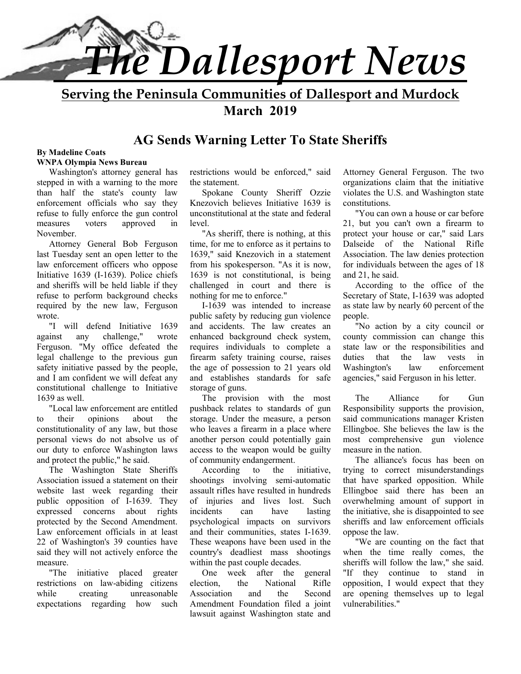

**Serving the Peninsula Communities of Dallesport and Murdock March 2019** 

# **AG Sends Warning Letter To State Sheriffs**

#### **By Madeline Coats WNPA Olympia News Bureau**

Washington's attorney general has stepped in with a warning to the more than half the state's county law enforcement officials who say they refuse to fully enforce the gun control measures voters approved in November.

Attorney General Bob Ferguson last Tuesday sent an open letter to the law enforcement officers who oppose Initiative 1639 (I-1639). Police chiefs and sheriffs will be held liable if they refuse to perform background checks required by the new law, Ferguson wrote.

"I will defend Initiative 1639 against any challenge," wrote Ferguson. "My office defeated the legal challenge to the previous gun safety initiative passed by the people, and I am confident we will defeat any constitutional challenge to Initiative 1639 as well.

"Local law enforcement are entitled to their opinions about the constitutionality of any law, but those personal views do not absolve us of our duty to enforce Washington laws and protect the public," he said.

The Washington State Sheriffs Association issued a statement on their website last week regarding their public opposition of I-1639. They expressed concerns about rights protected by the Second Amendment. Law enforcement officials in at least 22 of Washington's 39 counties have said they will not actively enforce the measure.

"The initiative placed greater restrictions on law-abiding citizens while creating unreasonable expectations regarding how such restrictions would be enforced," said the statement.

Spokane County Sheriff Ozzie Knezovich believes Initiative 1639 is unconstitutional at the state and federal level.

"As sheriff, there is nothing, at this time, for me to enforce as it pertains to 1639," said Knezovich in a statement from his spokesperson. "As it is now, 1639 is not constitutional, is being challenged in court and there is nothing for me to enforce."

I-1639 was intended to increase public safety by reducing gun violence and accidents. The law creates an enhanced background check system, requires individuals to complete a firearm safety training course, raises the age of possession to 21 years old and establishes standards for safe storage of guns.

The provision with the most pushback relates to standards of gun storage. Under the measure, a person who leaves a firearm in a place where another person could potentially gain access to the weapon would be guilty of community endangerment.

According to the initiative, shootings involving semi-automatic assault rifles have resulted in hundreds of injuries and lives lost. Such incidents can have lasting psychological impacts on survivors and their communities, states I-1639. These weapons have been used in the country's deadliest mass shootings within the past couple decades.

One week after the general election, the National Rifle Association and the Second Amendment Foundation filed a joint lawsuit against Washington state and

Attorney General Ferguson. The two organizations claim that the initiative violates the U.S. and Washington state constitutions.

"You can own a house or car before 21, but you can't own a firearm to protect your house or car," said Lars Dalseide of the National Rifle Association. The law denies protection for individuals between the ages of 18 and 21, he said.

According to the office of the Secretary of State, I-1639 was adopted as state law by nearly 60 percent of the people.

"No action by a city council or county commission can change this state law or the responsibilities and duties that the law vests in Washington's law enforcement agencies," said Ferguson in his letter.

The Alliance for Gun Responsibility supports the provision, said communications manager Kristen Ellingboe. She believes the law is the most comprehensive gun violence measure in the nation.

The alliance's focus has been on trying to correct misunderstandings that have sparked opposition. While Ellingboe said there has been an overwhelming amount of support in the initiative, she is disappointed to see sheriffs and law enforcement officials oppose the law.

"We are counting on the fact that when the time really comes, the sheriffs will follow the law," she said. "If they continue to stand in opposition, I would expect that they are opening themselves up to legal vulnerabilities."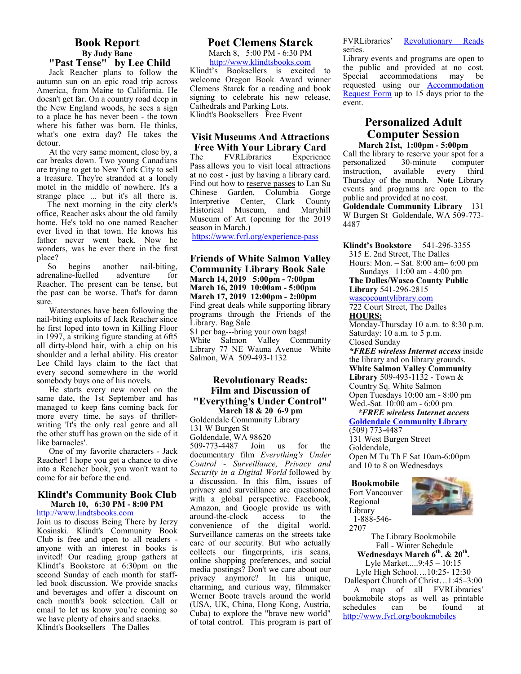#### **Book Report By Judy Bane "Past Tense" by Lee Child**

Jack Reacher plans to follow the autumn sun on an epic road trip across America, from Maine to California. He doesn't get far. On a country road deep in the New England woods, he sees a sign to a place he has never been - the town where his father was born. He thinks, what's one extra day? He takes the detour.

At the very same moment, close by, a car breaks down. Two young Canadians are trying to get to New York City to sell a treasure. They're stranded at a lonely motel in the middle of nowhere. It's a strange place ... but it's all there is.

 The next morning in the city clerk's office, Reacher asks about the old family home. He's told no one named Reacher ever lived in that town. He knows his father never went back. Now he wonders, was he ever there in the first place?

So begins another nail-biting,<br>renaline-fuelled adventure for adrenaline-fuelled adventure for Reacher. The present can be tense, but the past can be worse. That's for damn sure.

Waterstones have been following the nail-biting exploits of Jack Reacher since he first loped into town in Killing Floor in 1997, a striking figure standing at 6ft5 all dirty-blond hair, with a chip on his shoulder and a lethal ability. His creator Lee Child lays claim to the fact that every second somewhere in the world somebody buys one of his novels.

He starts every new novel on the same date, the 1st September and has managed to keep fans coming back for more every time, he says of thrillerwriting 'It's the only real genre and all the other stuff has grown on the side of it like barnacles'.

One of my favorite characters - Jack Reacher! I hope you get a chance to dive into a Reacher book, you won't want to come for air before the end.

#### **Klindt's Community Book Club March 10, 6:30 PM - 8:00 PM**

http://www.lindtsbooks.com

Join us to discuss Being There by Jerzy Kosinski. Klindt's Community Book Club is free and open to all readers anyone with an interest in books is invited! Our reading group gathers at Klindt's Bookstore at 6:30pm on the second Sunday of each month for staffled book discussion. We provide snacks and beverages and offer a discount on each month's book selection. Call or email to let us know you're coming so we have plenty of chairs and snacks. Klindt's Booksellers The Dalles

#### **Poet Clemens Starck**

March 8, 5:00 PM - 6:30 PM http://www.klindtsbooks.com Klindt's Booksellers is excited to welcome Oregon Book Award winner Clemens Starck for a reading and book signing to celebrate his new release, Cathedrals and Parking Lots. Klindt's Booksellers Free Event

#### **Visit Museums And Attractions Free With Your Library Card**

The FVRLibraries Experience Pass allows you to visit local attractions at no cost - just by having a library card. Find out how to reserve passes to Lan Su Chinese Garden, Columbia Gorge Interpretive Center, Clark County<br>Historical Museum, and Maryhill Historical Museum, Museum of Art (opening for the 2019 season in March.)

https://www.fvrl.org/experience-pass

**Friends of White Salmon Valley Community Library Book Sale March 14, 2019 5:00pm - 7:00pm March 16, 2019 10:00am - 5:00pm March 17, 2019 12:00pm - 2:00pm**  Find great deals while supporting library programs through the Friends of the Library. Bag Sale \$1 per bag---bring your own bags! White Salmon Valley Community Library 77 NE Wauna Avenue White Salmon, WA 509-493-1132

#### **Revolutionary Reads: Film and Discussion of "Everything's Under Control" March 18 & 20 6-9 pm**

Goldendale Community Library 131 W Burgen St Goldendale, WA 98620 509-773-4487 Join us for the documentary film *Everything's Under Control - Surveillance, Privacy and Security in a Digital World* followed by a discussion. In this film, issues of privacy and surveillance are questioned with a global perspective. Facebook, Amazon, and Google provide us with around-the-clock access to the convenience of the digital world. Surveillance cameras on the streets take care of our security. But who actually collects our fingerprints, iris scans, online shopping preferences, and social media postings? Don't we care about our privacy anymore? In his unique, charming, and curious way, filmmaker Werner Boote travels around the world (USA, UK, China, Hong Kong, Austria, Cuba) to explore the "brave new world" of total control. This program is part of FVRLibraries' Revolutionary Reads series.

Library events and programs are open to the public and provided at no cost. Special accommodations may be requested using our Accommodation Request Form up to 15 days prior to the event.

#### **Personalized Adult Computer Session March 21st, 1:00pm - 5:00pm**

Call the library to reserve your spot for a<br>personalized 30-minute computer personalized instruction, available every third Thursday of the month. **Note** Library events and programs are open to the public and provided at no cost. **Goldendale Community Library** 131 W Burgen St Goldendale, WA 509-773- 4487

**Klindt's Bookstore** 541-296-3355 315 E. 2nd Street, The Dalles Hours: Mon. – Sat. 8:00 am– 6:00 pm Sundays 11:00 am - 4:00 pm **The Dalles/Wasco County Public Library** 541-296-2815 wascocountylibrary.com 722 Court Street, The Dalles **HOURS:**  Monday-Thursday 10 a.m. to 8:30 p.m. Saturday: 10 a.m. to 5 p.m. Closed Sunday *\*FREE wireless Internet access* inside the library and on library grounds. **White Salmon Valley Community Library** 509-493-1132 - Town & Country Sq. White Salmon Open Tuesdays 10:00 am - 8:00 pm

Wed.-Sat. 10:00 am - 6:00 pm  *\*FREE wireless Internet access*  **Goldendale Community Library** 

(509) 773-4487 131 West Burgen Street Goldendale, Open M Tu Th F Sat 10am-6:00pm and 10 to 8 on Wednesdays

**Bookmobile**  Fort Vancouver Regional Library 1-888-546- 2707



The Library Bookmobile Fall - Winter Schedule **Wednesdays March 6th. & 20th .**  Lyle Market.....9:45 – 10:15

Lyle High School….10:25- 12:30 Dallesport Church of Christ…1:45–3:00

 A map of all FVRLibraries' bookmobile stops as well as printable schedules can be found at http://www.fvrl.org/bookmobiles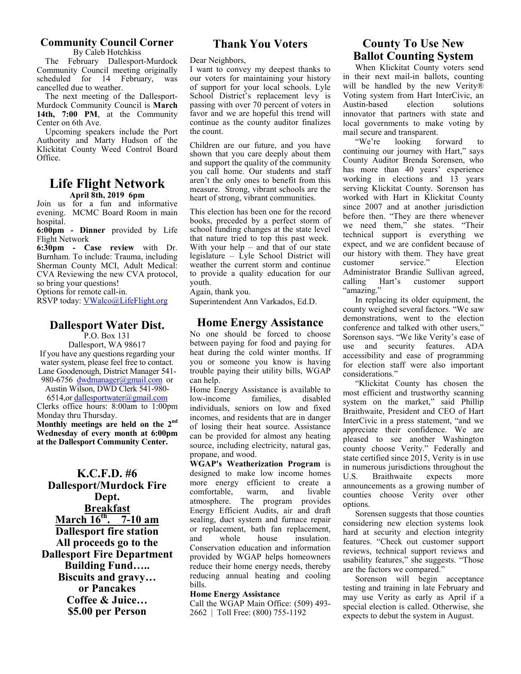## **Community Council Corner**

By Caleb Hotchkiss The February Dallesport-Murdock

Community Council meeting originally<br>scheduled for 14 February, was scheduled for  $14$  February, cancelled due to weather. The next meeting of the Dallesport-

Murdock Community Council is **March 14th, 7:00 PM**, at the Community Center on 6th Ave.

 Upcoming speakers include the Port Authority and Marty Hudson of the Klickitat County Weed Control Board Office.

#### **Life Flight Network April 8th, 2019 6pm**

Join us for a fun and informative evening. MCMC Board Room in main hospital.

**6:00pm - Dinner** provided by Life Flight Network

**6:30pm - Case review** with Dr. Burnham. To include: Trauma, including Sherman County MCI, Adult Medical: CVA Reviewing the new CVA protocol, so bring your questions!

Options for remote call-in.

RSVP today: VWalco@LifeFlight.org

# **Dallesport Water Dist.**

P.O. Box 131 Dallesport, WA 98617 If you have any questions regarding your water system, please feel free to contact. Lane Goodenough, District Manager 541- 980-6756 dwdmanager@gmail.com or

Austin Wilson, DWD Clerk 541-980- 6514,or dallesportwater@gmail.com

Clerks office hours: 8:00am to 1:00pm Monday thru Thursday. **Monthly meetings are held on the 2nd Wednesday of every month at 6:00pm at the Dallesport Community Center.** 

## **K.C.F.D. #6 Dallesport/Murdock Fire Dept. Breakfast March 16th. 7-10 am Dallesport fire station All proceeds go to the Dallesport Fire Department Building Fund….. Biscuits and gravy… or Pancakes Coffee & Juice… \$5.00 per Person**

# **Thank You Voters**

Dear Neighbors,

I want to convey my deepest thanks to our voters for maintaining your history of support for your local schools. Lyle School District's replacement levy is passing with over 70 percent of voters in favor and we are hopeful this trend will continue as the county auditor finalizes the count.

Children are our future, and you have shown that you care deeply about them and support the quality of the community you call home. Our students and staff aren't the only ones to benefit from this measure. Strong, vibrant schools are the heart of strong, vibrant communities.

This election has been one for the record books, preceded by a perfect storm of school funding changes at the state level that nature tried to top this past week. With your help – and that of our state legislature – Lyle School District will weather the current storm and continue to provide a quality education for our youth.

Again, thank you.

Superintendent Ann Varkados, Ed.D.

# **Home Energy Assistance**

No one should be forced to choose between paying for food and paying for heat during the cold winter months. If you or someone you know is having trouble paying their utility bills, WGAP can help.

Home Energy Assistance is available to low-income families, disabled individuals, seniors on low and fixed incomes, and residents that are in danger of losing their heat source. Assistance can be provided for almost any heating source, including electricity, natural gas, propane, and wood.

**WGAP's Weatherization Program** is designed to make low income homes more energy efficient to create a comfortable, warm, and livable atmosphere. The program provides Energy Efficient Audits, air and draft sealing, duct system and furnace repair or replacement, bath fan replacement, and whole house insulation. Conservation education and information provided by WGAP helps homeowners reduce their home energy needs, thereby reducing annual heating and cooling bills.

#### **Home Energy Assistance**

Call the WGAP Main Office: (509) 493- 2662 | Toll Free: (800) 755-1192

# **County To Use New Ballot Counting System**

When Klickitat County voters send in their next mail-in ballots, counting will be handled by the new Verity® Voting system from Hart InterCivic, an Austin-based election solutions innovator that partners with state and local governments to make voting by mail secure and transparent.

"We're looking forward continuing our journey with Hart," says County Auditor Brenda Sorensen, who has more than 40 years' experience working in elections and 13 years serving Klickitat County. Sorenson has worked with Hart in Klickitat County since 2007 and at another jurisdiction before then. "They are there whenever we need them," she states. "Their technical support is everything we expect, and we are confident because of our history with them. They have great customer service." Election Administrator Brandie Sullivan agreed,<br>calling Hart's customer support calling Hart's customer support "amazing."

In replacing its older equipment, the county weighed several factors. "We saw demonstrations, went to the election conference and talked with other users," Sorenson says. "We like Verity's ease of use and security features. ADA accessibility and ease of programming for election staff were also important considerations."

"Klickitat County has chosen the most efficient and trustworthy scanning system on the market," said Phillip Braithwaite, President and CEO of Hart InterCivic in a press statement, "and we appreciate their confidence. We are pleased to see another Washington county choose Verity." Federally and state certified since 2015, Verity is in use in numerous jurisdictions throughout the<br>U.S. Braithwaite expects more U.S. Braithwaite expects more announcements as a growing number of counties choose Verity over other options.

Sorensen suggests that those counties considering new election systems look hard at security and election integrity features. "Check out customer support reviews, technical support reviews and usability features," she suggests. "Those are the factors we compared."

Sorenson will begin acceptance testing and training in late February and may use Verity as early as April if a special election is called. Otherwise, she expects to debut the system in August.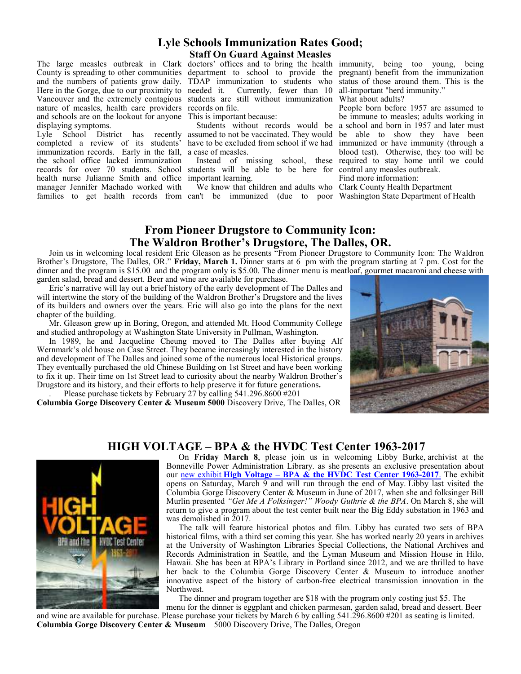#### **Lyle Schools Immunization Rates Good; Staff On Guard Against Measles**

The large measles outbreak in Clark doctors' offices and to bring the health immunity, being too young, being and the numbers of patients grow daily. Here in the Gorge, due to our proximity to needed it. Vancouver and the extremely contagious nature of measles, health care providers and schools are on the lookout for anyone displaying symptoms.

Lyle School District has recently completed a review of its students' immunization records. Early in the fall, the school office lacked immunization records for over 70 students. School health nurse Julianne Smith and office important learning. manager Jennifer Machado worked with families to get health records from can't be immunized (due to poor Washington State Department of Health

needed it. Currently, fewer than 10 all-important "herd immunity." students are still without immunization What about adults? records on file.

This is important because:

 Students without records would be assumed to not be vaccinated. They would have to be excluded from school if we had a case of measles.

students will be able to be here for

We know that children and adults who Clark County Health Department

County is spreading to other communities department to school to provide the pregnant) benefit from the immunization TDAP immunization to students who status of those around them. This is the

 Instead of missing school, these required to stay home until we could People born before 1957 are assumed to be immune to measles; adults working in a school and born in 1957 and later must be able to show they have been immunized or have immunity (through a blood test). Otherwise, they too will be control any measles outbreak.

Find more information:

# **From Pioneer Drugstore to Community Icon: The Waldron Brother's Drugstore, The Dalles, OR.**

Join us in welcoming local resident Eric Gleason as he presents "From Pioneer Drugstore to Community Icon: The Waldron Brother's Drugstore, The Dalles, OR." **Friday, March 1.** Dinner starts at 6 pm with the program starting at 7 pm. Cost for the dinner and the program is \$15.00 and the program only is \$5.00. The dinner menu is meatloaf, gourmet macaroni and cheese with garden salad, bread and dessert. Beer and wine are available for purchase.

Eric's narrative will lay out a brief history of the early development of The Dalles and will intertwine the story of the building of the Waldron Brother's Drugstore and the lives of its builders and owners over the years. Eric will also go into the plans for the next chapter of the building.

Mr. Gleason grew up in Boring, Oregon, and attended Mt. Hood Community College and studied anthropology at Washington State University in Pullman, Washington.

In 1989, he and Jacqueline Cheung moved to The Dalles after buying Alf Wernmark's old house on Case Street. They became increasingly interested in the history and development of The Dalles and joined some of the numerous local Historical groups. They eventually purchased the old Chinese Building on 1st Street and have been working to fix it up. Their time on 1st Street lead to curiosity about the nearby Waldron Brother's Drugstore and its history, and their efforts to help preserve it for future generations**.** 

. Please purchase tickets by February 27 by calling 541.296.8600 #201 **Columbia Gorge Discovery Center & Museum 5000** Discovery Drive, The Dalles, OR



#### **HIGH VOLTAGE – BPA & the HVDC Test Center 1963-2017**

On **Friday March 8**, please join us in welcoming Libby Burke, archivist at the Bonneville Power Administration Library. as she presents an exclusive presentation about our new exhibit **High Voltage – BPA & the HVDC Test Center 1963-2017**. The exhibit opens on Saturday, March 9 and will run through the end of May. Libby last visited the Columbia Gorge Discovery Center & Museum in June of 2017, when she and folksinger Bill Murlin presented *"Get Me A Folksinger!" Woody Guthrie & the BPA*. On March 8, she will return to give a program about the test center built near the Big Eddy substation in 1963 and was demolished in 2017.

The talk will feature historical photos and film. Libby has curated two sets of BPA historical films, with a third set coming this year. She has worked nearly 20 years in archives at the University of Washington Libraries Special Collections, the National Archives and Records Administration in Seattle, and the Lyman Museum and Mission House in Hilo, Hawaii. She has been at BPA's Library in Portland since 2012, and we are thrilled to have her back to the Columbia Gorge Discovery Center & Museum to introduce another innovative aspect of the history of carbon-free electrical transmission innovation in the Northwest.

The dinner and program together are \$18 with the program only costing just \$5. The menu for the dinner is eggplant and chicken parmesan, garden salad, bread and dessert. Beer and wine are available for purchase. Please purchase your tickets by March 6 by calling 541.296.8600 #201 as seating is limited.

**Columbia Gorge Discovery Center & Museum** 5000 Discovery Drive, The Dalles, Oregon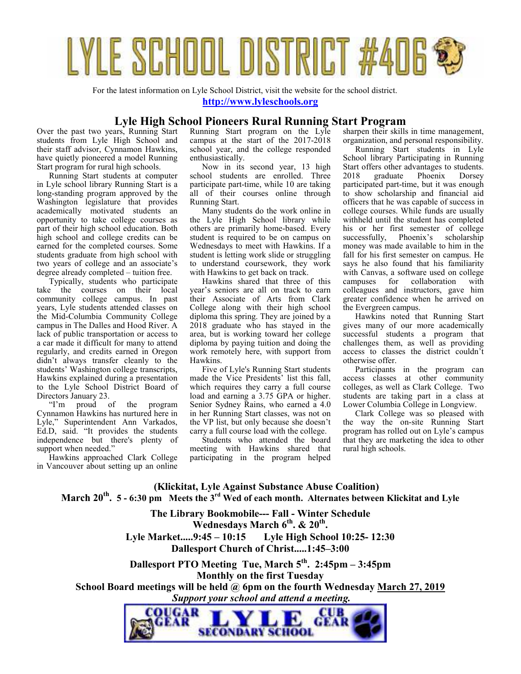

For the latest information on Lyle School District, visit the website for the school district.

**http://www.lyleschools.org**

#### **Lyle High School Pioneers Rural Running Start Program**

Over the past two years, Running Start students from Lyle High School and their staff advisor, Cynnamon Hawkins, have quietly pioneered a model Running Start program for rural high schools.

Running Start students at computer in Lyle school library Running Start is a long-standing program approved by the Washington legislature that provides academically motivated students an opportunity to take college courses as part of their high school education. Both high school and college credits can be earned for the completed courses. Some students graduate from high school with two years of college and an associate's degree already completed – tuition free.

Typically, students who participate take the courses on their local community college campus. In past years, Lyle students attended classes on the Mid-Columbia Community College campus in The Dalles and Hood River. A lack of public transportation or access to a car made it difficult for many to attend regularly, and credits earned in Oregon didn't always transfer cleanly to the students' Washington college transcripts, Hawkins explained during a presentation to the Lyle School District Board of Directors January 23.

"I'm proud of the program Cynnamon Hawkins has nurtured here in Lyle," Superintendent Ann Varkados, Ed.D, said. "It provides the students independence but there's plenty of support when needed."

Hawkins approached Clark College in Vancouver about setting up an online Running Start program on the Lyle campus at the start of the 2017-2018 school year, and the college responded enthusiastically.

Now in its second year, 13 high school students are enrolled. Three participate part-time, while 10 are taking all of their courses online through Running Start.

Many students do the work online in the Lyle High School library while others are primarily home-based. Every student is required to be on campus on Wednesdays to meet with Hawkins. If a student is letting work slide or struggling to understand coursework, they work with Hawkins to get back on track.

Hawkins shared that three of this year's seniors are all on track to earn their Associate of Arts from Clark College along with their high school diploma this spring. They are joined by a 2018 graduate who has stayed in the area, but is working toward her college diploma by paying tuition and doing the work remotely here, with support from Hawkins.

Five of Lyle's Running Start students made the Vice Presidents' list this fall, which requires they carry a full course load and earning a 3.75 GPA or higher. Senior Sydney Rains, who earned a 4.0 in her Running Start classes, was not on the VP list, but only because she doesn't carry a full course load with the college.

Students who attended the board meeting with Hawkins shared that participating in the program helped sharpen their skills in time management, organization, and personal responsibility.

Running Start students in Lyle School library Participating in Running Start offers other advantages to students.<br>2018 graduate Phoenix Dorsey 2018 graduate Phoenix participated part-time, but it was enough to show scholarship and financial aid officers that he was capable of success in college courses. While funds are usually withheld until the student has completed his or her first semester of college successfully, Phoenix's scholarship money was made available to him in the fall for his first semester on campus. He says he also found that his familiarity with Canvas, a software used on college<br>campuses for collaboration with collaboration colleagues and instructors, gave him greater confidence when he arrived on the Evergreen campus.

Hawkins noted that Running Start gives many of our more academically successful students a program that challenges them, as well as providing access to classes the district couldn't otherwise offer.

Participants in the program can access classes at other community colleges, as well as Clark College. Two students are taking part in a class at Lower Columbia College in Longview.

Clark College was so pleased with the way the on-site Running Start program has rolled out on Lyle's campus that they are marketing the idea to other rural high schools.

**(Klickitat, Lyle Against Substance Abuse Coalition) March 20th . 5 - 6:30 pm Meets the 3rd Wed of each month. Alternates between Klickitat and Lyle**

> **The Library Bookmobile--- Fall - Winter Schedule Wednesdays March 6th. & 20th . Lyle Market.....9:45 – 10:15 Lyle High School 10:25- 12:30 Dallesport Church of Christ.....1:45–3:00**

**Dallesport PTO Meeting Tue, March 5th. 2:45pm – 3:45pm Monthly on the first Tuesday School Board meetings will be held @ 6pm on the fourth Wednesday March 27, 2019**

 *Support your school and attend a meeting.* 

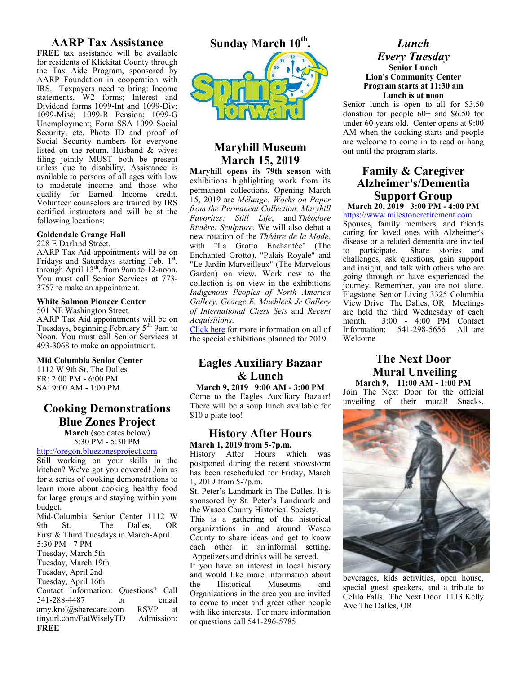## **AARP Tax Assistance**

**FREE** tax assistance will be available for residents of Klickitat County through the Tax Aide Program, sponsored by AARP Foundation in cooperation with IRS. Taxpayers need to bring: Income statements, W2 forms; Interest and Dividend forms 1099-Int and 1099-Div; 1099-Misc; 1099-R Pension; 1099-G Unemployment; Form SSA 1099 Social Security, etc. Photo ID and proof of Social Security numbers for everyone listed on the return. Husband & wives filing jointly MUST both be present unless due to disability. Assistance is available to persons of all ages with low to moderate income and those who qualify for Earned Income credit. Volunteer counselors are trained by IRS certified instructors and will be at the following locations:

#### **Goldendale Grange Hall**

228 E Darland Street.

AARP Tax Aid appointments will be on Fridays and Saturdays starting Feb. 1st. through April  $13<sup>th</sup>$ . from 9am to 12-noon. You must call Senior Services at 773- 3757 to make an appointment.

#### **White Salmon Pioneer Center**

501 NE Washington Street.

AARP Tax Aid appointments will be on Tuesdays, beginning February  $5<sup>th</sup>$ . 9am to Noon. You must call Senior Services at 493-3068 to make an appointment.

#### **Mid Columbia Senior Center**

1112 W 9th St, The Dalles FR: 2:00 PM - 6:00 PM SA: 9:00 AM - 1:00 PM

# **Cooking Demonstrations Blue Zones Project**

**March** (see dates below) 5:30 PM - 5:30 PM

http://oregon.bluezonesproject.com

Still working on your skills in the kitchen? We've got you covered! Join us for a series of cooking demonstrations to learn more about cooking healthy food for large groups and staying within your budget.

Mid-Columbia Senior Center 1112 W 9th St. The Dalles, OR First & Third Tuesdays in March-April 5:30 PM - 7 PM Tuesday, March 5th Tuesday, March 19th Tuesday, April 2nd Tuesday, April 16th Contact Information: Questions? Call 541-288-4487 or email<br>amy krol@sharecare.com RSVP at amy.krol@sharecare.com RSVP at<br>tinyurl.com/EatWiselyTD Admission: tinyurl.com/EatWiselyTD **FREE**



# **Maryhill Museum March 15, 2019**

**Maryhill opens its 79th season** with exhibitions highlighting work from its permanent collections. Opening March 15, 2019 are *Mélange: Works on Paper from the Permanent Collection, Maryhill Favorites: Still Life*, and *Théodore Rivière: Sculpture*. We will also debut a new rotation of the *Théâtre de la Mode,*  with "La Grotto Enchantée" (The Enchanted Grotto), "Palais Royale" and "Le Jardin Marveilleux" (The Marvelous Garden) on view. Work new to the collection is on view in the exhibitions *Indigenous Peoples of North America Gallery, George E. Muehleck Jr Gallery of International Chess Sets* and *Recent Acquisitions*.

Click here for more information on all of the special exhibitions planned for 2019.

# **Eagles Auxiliary Bazaar & Lunch**

**March 9, 2019 9:00 AM - 3:00 PM**  Come to the Eagles Auxiliary Bazaar! There will be a soup lunch available for \$10 a plate too!

#### **History After Hours March 1, 2019 from 5-7p.m.**

History After Hours which was postponed during the recent snowstorm has been rescheduled for Friday, March 1, 2019 from 5-7p.m.

St. Peter's Landmark in The Dalles. It is sponsored by St. Peter's Landmark and the Wasco County Historical Society.

This is a gathering of the historical organizations in and around Wasco County to share ideas and get to know each other in an informal setting. Appetizers and drinks will be served.

If you have an interest in local history and would like more information about the Historical Museums and Organizations in the area you are invited to come to meet and greet other people with like interests. For more information or questions call 541-296-5785

#### *Lunch Every Tuesday*  **Senior Lunch Lion's Community Center Program starts at 11:30 am Lunch is at noon**

Senior lunch is open to all for \$3.50 donation for people 60+ and \$6.50 for under 60 years old. Center opens at 9:00 AM when the cooking starts and people are welcome to come in to read or hang out until the program starts.

# **Family & Caregiver Alzheimer's/Dementia Support Group**

# **March 20, 2019 3:00 PM - 4:00 PM**

https://www.milestoneretirement.com Spouses, family members, and friends caring for loved ones with Alzheimer's disease or a related dementia are invited to participate. Share stories and challenges, ask questions, gain support and insight, and talk with others who are going through or have experienced the journey. Remember, you are not alone. Flagstone Senior Living 3325 Columbia View Drive The Dalles, OR Meetings are held the third Wednesday of each month. 3:00 - 4:00 PM Contact Information: 541-298-5656 All are Welcome

### **The Next Door Mural Unveiling March 9, 11:00 AM - 1:00 PM**

Join The Next Door for the official unveiling of their mural! Snacks,



beverages, kids activities, open house, special guest speakers, and a tribute to Celilo Falls. The Next Door 1113 Kelly Ave The Dalles, OR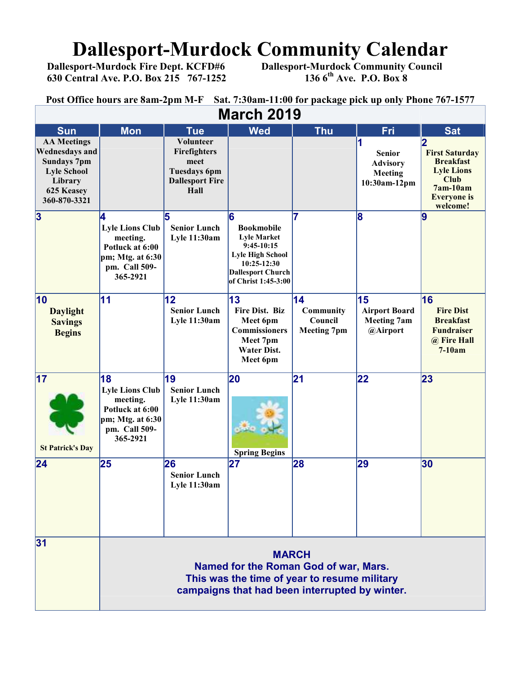# **Dallesport-Murdock Community Calendar**<br>Dallesport-Murdock Fire Dept. KCFD#6 Dallesport-Murdock Community Council

 **630 Central Ave. P.O. Box 215 767-1252 136 6th Ave. P.O. Box 8** 

 **Dallesport-Murdock Community Council 136 6<sup>th</sup> Ave. P.O. Box 8** 

**Post Office hours are 8am-2pm M-F Sat. 7:30am-11:00 for package pick up only Phone 767-1577**

| Omree nours are oum<br>$\sim$ and the same extra sector parameter $\mu$ and $\mu$<br><b>March 2019</b>                           |                                                                                                                                                         |                                                                                                   |                                                                                                                                                           |                                                               |                                                                    |                                                                                                                               |
|----------------------------------------------------------------------------------------------------------------------------------|---------------------------------------------------------------------------------------------------------------------------------------------------------|---------------------------------------------------------------------------------------------------|-----------------------------------------------------------------------------------------------------------------------------------------------------------|---------------------------------------------------------------|--------------------------------------------------------------------|-------------------------------------------------------------------------------------------------------------------------------|
| <b>Sun</b>                                                                                                                       | <b>Mon</b>                                                                                                                                              | <b>Tue</b>                                                                                        | <b>Wed</b>                                                                                                                                                | <b>Thu</b>                                                    | Fri                                                                | <b>Sat</b>                                                                                                                    |
| <b>AA Meetings</b><br><b>Wednesdays and</b><br><b>Sundays 7pm</b><br><b>Lyle School</b><br>Library<br>625 Keasey<br>360-870-3321 |                                                                                                                                                         | <b>Volunteer</b><br>Firefighters<br>meet<br><b>Tuesdays 6pm</b><br><b>Dallesport Fire</b><br>Hall |                                                                                                                                                           |                                                               | <b>Senior</b><br><b>Advisory</b><br><b>Meeting</b><br>10:30am-12pm | <b>First Saturday</b><br><b>Breakfast</b><br><b>Lyle Lions</b><br><b>Club</b><br>$7am-10am$<br><b>Everyone</b> is<br>welcome! |
| 3                                                                                                                                | 14<br><b>Lyle Lions Club</b><br>meeting.<br>Potluck at 6:00<br>pm; Mtg. at 6:30<br>pm. Call 509-<br>365-2921                                            | 5<br><b>Senior Lunch</b><br><b>Lyle 11:30am</b>                                                   | 6<br><b>Bookmobile</b><br><b>Lyle Market</b><br>$9:45-10:15$<br><b>Lyle High School</b><br>10:25-12:30<br><b>Dallesport Church</b><br>of Christ 1:45-3:00 | 7                                                             | 8                                                                  | $\overline{9}$                                                                                                                |
| 10<br><b>Daylight</b><br><b>Savings</b><br><b>Begins</b>                                                                         | 11                                                                                                                                                      | 12<br><b>Senior Lunch</b><br><b>Lyle 11:30am</b>                                                  | 13<br>Fire Dist. Biz<br>Meet 6pm<br><b>Commissioners</b><br>Meet 7pm<br><b>Water Dist.</b><br>Meet 6pm                                                    | $\overline{14}$<br>Community<br>Council<br><b>Meeting 7pm</b> | 15<br><b>Airport Board</b><br><b>Meeting 7am</b><br>@Airport       | 16<br><b>Fire Dist</b><br><b>Breakfast</b><br><b>Fundraiser</b><br>@ Fire Hall<br>$7-10am$                                    |
| $\overline{17}$<br><b>St Patrick's Day</b>                                                                                       | 18<br><b>Lyle Lions Club</b><br>meeting.<br>Potluck at 6:00<br>pm; Mtg. at 6:30<br>pm. Call 509-<br>365-2921                                            | 19<br><b>Senior Lunch</b><br><b>Lyle 11:30am</b>                                                  | 20<br><b>Spring Begins</b>                                                                                                                                | $\overline{21}$                                               | 22                                                                 | 23                                                                                                                            |
| 24                                                                                                                               | 25                                                                                                                                                      | 26<br><b>Senior Lunch</b><br><b>Lyle 11:30am</b>                                                  | 27                                                                                                                                                        | 28                                                            | 29                                                                 | 30                                                                                                                            |
| 31                                                                                                                               | <b>MARCH</b><br>Named for the Roman God of war, Mars.<br>This was the time of year to resume military<br>campaigns that had been interrupted by winter. |                                                                                                   |                                                                                                                                                           |                                                               |                                                                    |                                                                                                                               |